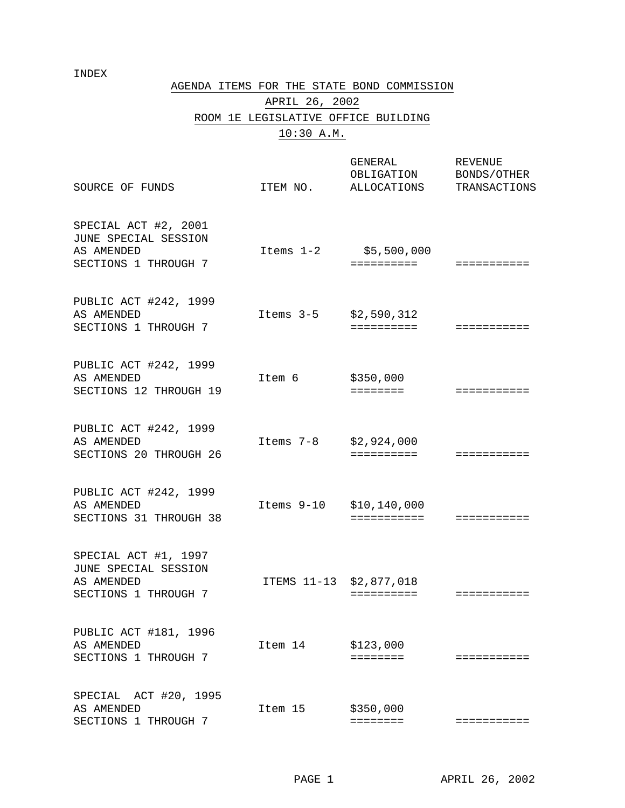## INDEX

AGENDA ITEMS FOR THE STATE BOND COMMISSION

# APRIL 26, 2002 ROOM 1E LEGISLATIVE OFFICE BUILDING 10:30 A.M.

| SOURCE OF FUNDS                                                                    | ITEM NO.                | GENERAL<br>OBLIGATION<br>ALLOCATIONS | <b>REVENUE</b><br>BONDS/OTHER<br>TRANSACTIONS |
|------------------------------------------------------------------------------------|-------------------------|--------------------------------------|-----------------------------------------------|
| SPECIAL ACT #2, 2001<br>JUNE SPECIAL SESSION<br>AS AMENDED<br>SECTIONS 1 THROUGH 7 | Items 1-2               | \$5,500,000<br>==========            | ===========                                   |
| PUBLIC ACT #242, 1999<br>AS AMENDED<br>SECTIONS 1 THROUGH 7                        | Items 3-5               | \$2,590,312<br>==========            | ===========                                   |
| PUBLIC ACT #242, 1999<br>AS AMENDED<br>SECTIONS 12 THROUGH 19                      | Item 6                  | \$350,000<br>$=$ = = = = = = =       | ===========                                   |
| PUBLIC ACT #242, 1999<br>AS AMENDED<br>SECTIONS 20 THROUGH 26                      | Items 7-8               | \$2,924,000<br>==========            | ==========                                    |
| PUBLIC ACT #242, 1999<br>AS AMENDED<br>SECTIONS 31 THROUGH 38                      | Items 9-10              | \$10, 140, 000<br>===========        | ===========                                   |
| SPECIAL ACT #1, 1997<br>JUNE SPECIAL SESSION<br>AS AMENDED<br>SECTIONS 1 THROUGH 7 | ITEMS 11-13 \$2,877,018 | ==========                           | ===========                                   |
| PUBLIC ACT #181, 1996<br>AS AMENDED<br>SECTIONS 1 THROUGH 7                        | Item 14                 | \$123,000<br>$=$ = = = = = = =       | ===========                                   |
| ACT #20, 1995<br>SPECIAL<br>AS AMENDED<br>SECTIONS 1 THROUGH 7                     | Item 15                 | \$350,000<br>========                | ===========                                   |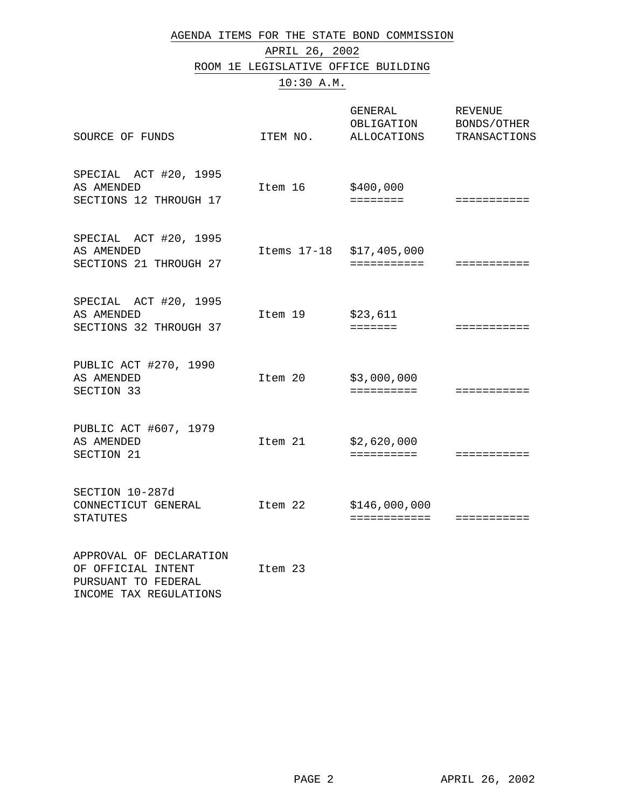AGENDA ITEMS FOR THE STATE BOND COMMISSION

APRIL 26, 2002 ROOM 1E LEGISLATIVE OFFICE BUILDING 10:30 A.M.

| SOURCE OF FUNDS                                                                                | ITEM NO. | GENERAL<br>OBLIGATION<br>ALLOCATIONS    | <b>REVENUE</b><br>BONDS/OTHER<br>TRANSACTIONS |
|------------------------------------------------------------------------------------------------|----------|-----------------------------------------|-----------------------------------------------|
| SPECIAL ACT #20, 1995<br>AS AMENDED<br>SECTIONS 12 THROUGH 17                                  | Item 16  | \$400,000<br><b>EEEEEEE</b>             | ===========                                   |
| SPECIAL ACT #20, 1995<br>AS AMENDED<br>SECTIONS 21 THROUGH 27                                  |          | Items 17-18 \$17,405,000<br>=========== | ===========                                   |
| SPECIAL ACT #20, 1995<br>AS AMENDED<br>SECTIONS 32 THROUGH 37                                  | Item 19  | \$23,611<br><b>EEEEEEE</b>              | ===========                                   |
| PUBLIC ACT #270, 1990<br>AS AMENDED<br>SECTION 33                                              | Item 20  | \$3,000,000<br>==========               | ===========                                   |
| PUBLIC ACT #607, 1979<br>AS AMENDED<br>SECTION 21                                              | Item 21  | \$2,620,000<br>==========               | ===========                                   |
| SECTION 10-287d<br>CONNECTICUT GENERAL<br><b>STATUTES</b>                                      | Item 22  | \$146,000,000<br>============           | ===========                                   |
| APPROVAL OF DECLARATION<br>OF OFFICIAL INTENT<br>PURSUANT TO FEDERAL<br>INCOME TAX REGULATIONS | Item 23  |                                         |                                               |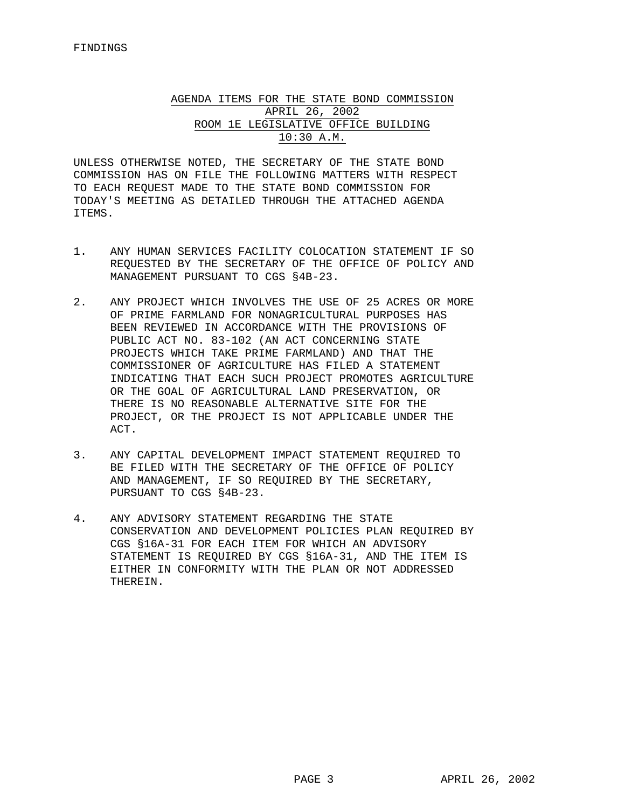## AGENDA ITEMS FOR THE STATE BOND COMMISSION APRIL 26, 2002 ROOM 1E LEGISLATIVE OFFICE BUILDING 10:30 A.M.

UNLESS OTHERWISE NOTED, THE SECRETARY OF THE STATE BOND COMMISSION HAS ON FILE THE FOLLOWING MATTERS WITH RESPECT TO EACH REQUEST MADE TO THE STATE BOND COMMISSION FOR TODAY'S MEETING AS DETAILED THROUGH THE ATTACHED AGENDA ITEMS.

- 1. ANY HUMAN SERVICES FACILITY COLOCATION STATEMENT IF SO REQUESTED BY THE SECRETARY OF THE OFFICE OF POLICY AND MANAGEMENT PURSUANT TO CGS §4B-23.
- 2. ANY PROJECT WHICH INVOLVES THE USE OF 25 ACRES OR MORE OF PRIME FARMLAND FOR NONAGRICULTURAL PURPOSES HAS BEEN REVIEWED IN ACCORDANCE WITH THE PROVISIONS OF PUBLIC ACT NO. 83-102 (AN ACT CONCERNING STATE PROJECTS WHICH TAKE PRIME FARMLAND) AND THAT THE COMMISSIONER OF AGRICULTURE HAS FILED A STATEMENT INDICATING THAT EACH SUCH PROJECT PROMOTES AGRICULTURE OR THE GOAL OF AGRICULTURAL LAND PRESERVATION, OR THERE IS NO REASONABLE ALTERNATIVE SITE FOR THE PROJECT, OR THE PROJECT IS NOT APPLICABLE UNDER THE ACT.
- 3. ANY CAPITAL DEVELOPMENT IMPACT STATEMENT REQUIRED TO BE FILED WITH THE SECRETARY OF THE OFFICE OF POLICY AND MANAGEMENT, IF SO REQUIRED BY THE SECRETARY, PURSUANT TO CGS §4B-23.
- 4. ANY ADVISORY STATEMENT REGARDING THE STATE CONSERVATION AND DEVELOPMENT POLICIES PLAN REQUIRED BY CGS §16A-31 FOR EACH ITEM FOR WHICH AN ADVISORY STATEMENT IS REQUIRED BY CGS §16A-31, AND THE ITEM IS EITHER IN CONFORMITY WITH THE PLAN OR NOT ADDRESSED THEREIN.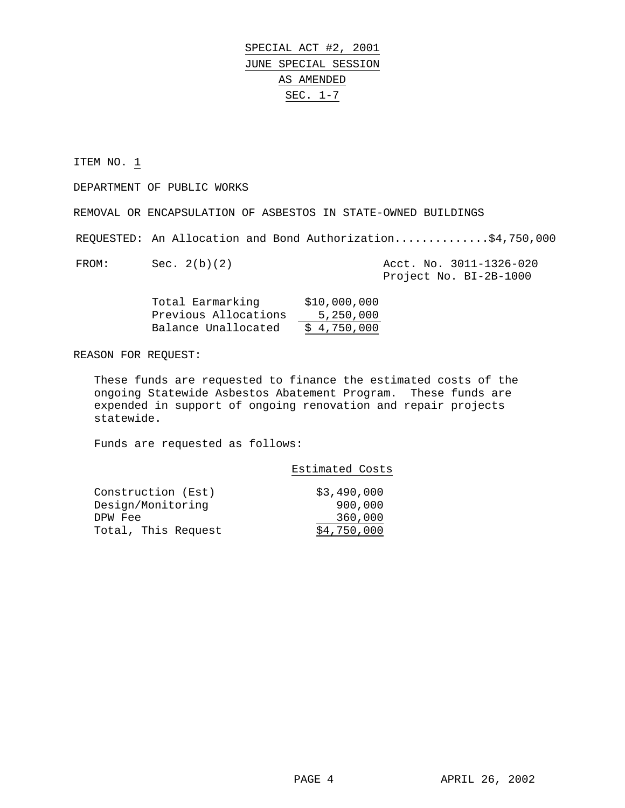SPECIAL ACT #2, 2001 JUNE SPECIAL SESSION AS AMENDED SEC. 1-7

ITEM NO. 1

DEPARTMENT OF PUBLIC WORKS

REMOVAL OR ENCAPSULATION OF ASBESTOS IN STATE-OWNED BUILDINGS

REQUESTED: An Allocation and Bond Authorization..............\$4,750,000

| FROM: | Sec. 2(b)(2) |  | Acct. No. 3011-1326-020 |
|-------|--------------|--|-------------------------|
|       |              |  | Project No. BI-2B-1000  |

| Total Earmarking     | \$10,000,000 |
|----------------------|--------------|
| Previous Allocations | 5,250,000    |
| Balance Unallocated  | \$4,750,000  |

REASON FOR REQUEST:

These funds are requested to finance the estimated costs of the ongoing Statewide Asbestos Abatement Program. These funds are expended in support of ongoing renovation and repair projects statewide.

|                                         | Estimated Costs        |
|-----------------------------------------|------------------------|
| Construction (Est)<br>Design/Monitoring | \$3,490,000<br>900,000 |
| DPW Fee                                 | 360,000                |
| Total, This Request                     | \$4,750,000            |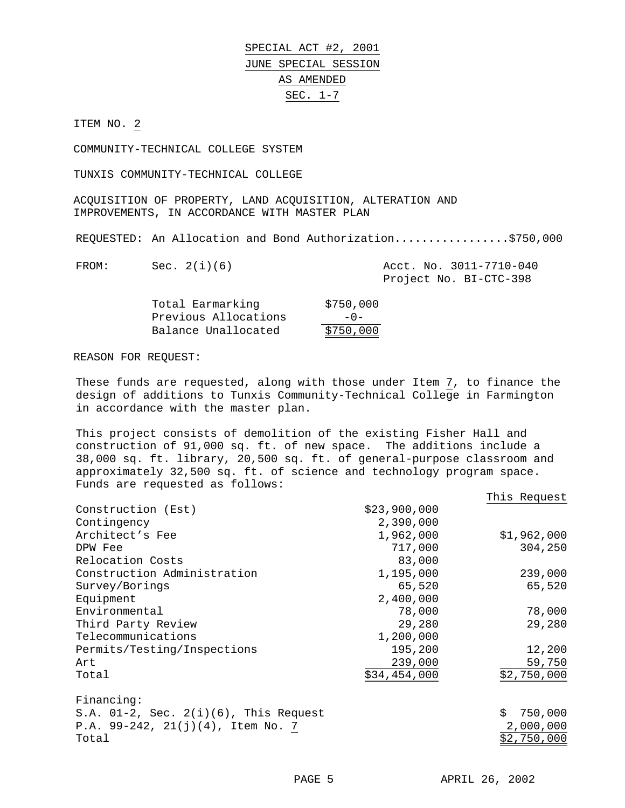SPECIAL ACT #2, 2001 JUNE SPECIAL SESSION AS AMENDED SEC. 1-7

ITEM NO. 2

COMMUNITY-TECHNICAL COLLEGE SYSTEM

TUNXIS COMMUNITY-TECHNICAL COLLEGE

ACQUISITION OF PROPERTY, LAND ACQUISITION, ALTERATION AND IMPROVEMENTS, IN ACCORDANCE WITH MASTER PLAN

REQUESTED: An Allocation and Bond Authorization.................\$750,000

| FROM: | Sec. $2(i)(6)$ |  | Acct. No. 3011-7710-040 |
|-------|----------------|--|-------------------------|
|       |                |  | Project No. BI-CTC-398  |

| Total Earmarking     | \$750,000 |
|----------------------|-----------|
| Previous Allocations | $-0-$     |
| Balance Unallocated  | \$750,000 |

#### REASON FOR REQUEST:

These funds are requested, along with those under Item 7, to finance the design of additions to Tunxis Community-Technical College in Farmington in accordance with the master plan.

This project consists of demolition of the existing Fisher Hall and construction of 91,000 sq. ft. of new space. The additions include a 38,000 sq. ft. library, 20,500 sq. ft. of general-purpose classroom and approximately 32,500 sq. ft. of science and technology program space. Funds are requested as follows:

|                                             |              | This Request  |
|---------------------------------------------|--------------|---------------|
| Construction (Est)                          | \$23,900,000 |               |
| Contingency                                 | 2,390,000    |               |
| Architect's Fee                             | 1,962,000    | \$1,962,000   |
| DPW Fee                                     | 717,000      | 304,250       |
| Relocation Costs                            | 83,000       |               |
| Construction Administration                 | 1,195,000    | 239,000       |
| Survey/Borings                              | 65,520       | 65,520        |
| Equipment                                   | 2,400,000    |               |
| Environmental                               | 78,000       | 78,000        |
| Third Party Review                          | 29,280       | 29,280        |
| Telecommunications                          | 1,200,000    |               |
| Permits/Testing/Inspections                 | 195,200      | 12,200        |
| Art                                         | 239,000      | 59,750        |
| Total                                       | \$34,454,000 | \$2,750,000   |
| Financing:                                  |              |               |
| S.A. $01-2$ , Sec. $2(i)(6)$ , This Request |              | 750,000<br>Ŝ. |
| P.A. $99-242$ , $21(j)(4)$ , Item No. 7     |              | 2,000,000     |
| Total                                       |              | \$2,750,000   |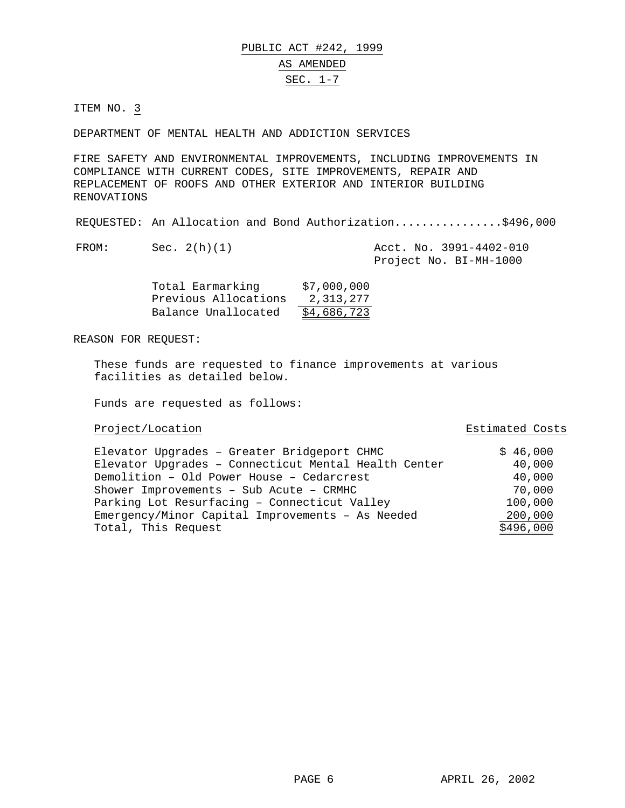DEPARTMENT OF MENTAL HEALTH AND ADDICTION SERVICES

FIRE SAFETY AND ENVIRONMENTAL IMPROVEMENTS, INCLUDING IMPROVEMENTS IN COMPLIANCE WITH CURRENT CODES, SITE IMPROVEMENTS, REPAIR AND REPLACEMENT OF ROOFS AND OTHER EXTERIOR AND INTERIOR BUILDING RENOVATIONS

REQUESTED: An Allocation and Bond Authorization................\$496,000

FROM: Sec. 2(h)(1) Acct. No. 3991-4402-010 Project No. BI-MH-1000

| Total Earmarking     | \$7,000,000 |
|----------------------|-------------|
| Previous Allocations | 2,313,277   |
| Balance Unallocated  | \$4,686,723 |

REASON FOR REQUEST:

These funds are requested to finance improvements at various facilities as detailed below.

Funds are requested as follows:

## Project/Location **Extimated Costs**

| Elevator Upgrades - Greater Bridgeport CHMC          | \$46,000  |
|------------------------------------------------------|-----------|
| Elevator Upgrades - Connecticut Mental Health Center | 40,000    |
| Demolition - Old Power House - Cedarcrest            | 40,000    |
| Shower Improvements - Sub Acute - CRMHC              | 70,000    |
| Parking Lot Resurfacing - Connecticut Valley         | 100,000   |
| Emergency/Minor Capital Improvements - As Needed     | 200,000   |
| Total, This Request                                  | \$496,000 |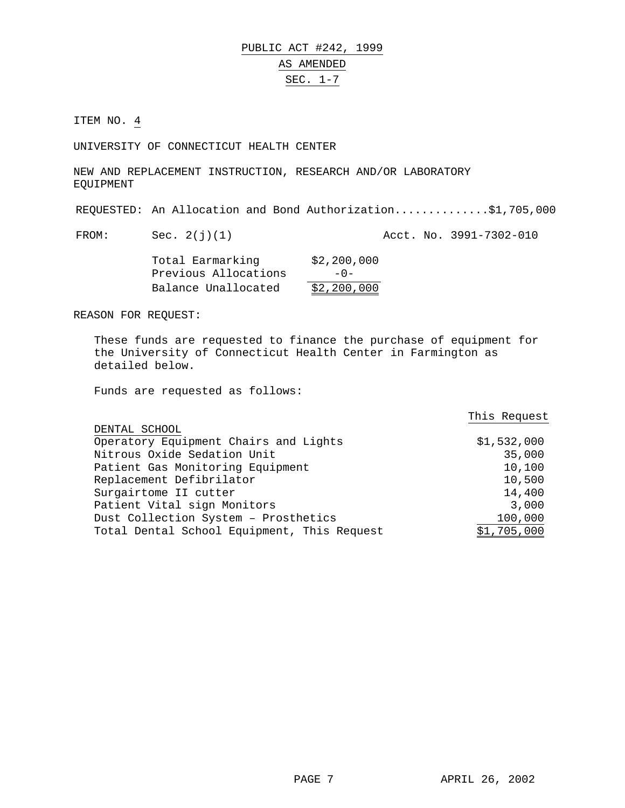UNIVERSITY OF CONNECTICUT HEALTH CENTER

NEW AND REPLACEMENT INSTRUCTION, RESEARCH AND/OR LABORATORY EQUIPMENT

REQUESTED: An Allocation and Bond Authorization..............\$1,705,000

FROM: Sec. 2(j)(1) Acct. No. 3991-7302-010

| Total Earmarking     | \$2,200,000 |
|----------------------|-------------|
| Previous Allocations | $-0-$       |
| Balance Unallocated  | \$2,200,000 |

REASON FOR REQUEST:

These funds are requested to finance the purchase of equipment for the University of Connecticut Health Center in Farmington as detailed below.

|                                             | This Request |
|---------------------------------------------|--------------|
| DENTAL SCHOOL                               |              |
| Operatory Equipment Chairs and Lights       | \$1,532,000  |
| Nitrous Oxide Sedation Unit                 | 35,000       |
| Patient Gas Monitoring Equipment            | 10,100       |
| Replacement Defibrilator                    | 10,500       |
| Surgairtome II cutter                       | 14,400       |
| Patient Vital sign Monitors                 | 3,000        |
| Dust Collection System - Prosthetics        | 100,000      |
| Total Dental School Equipment, This Request | \$1,705,000  |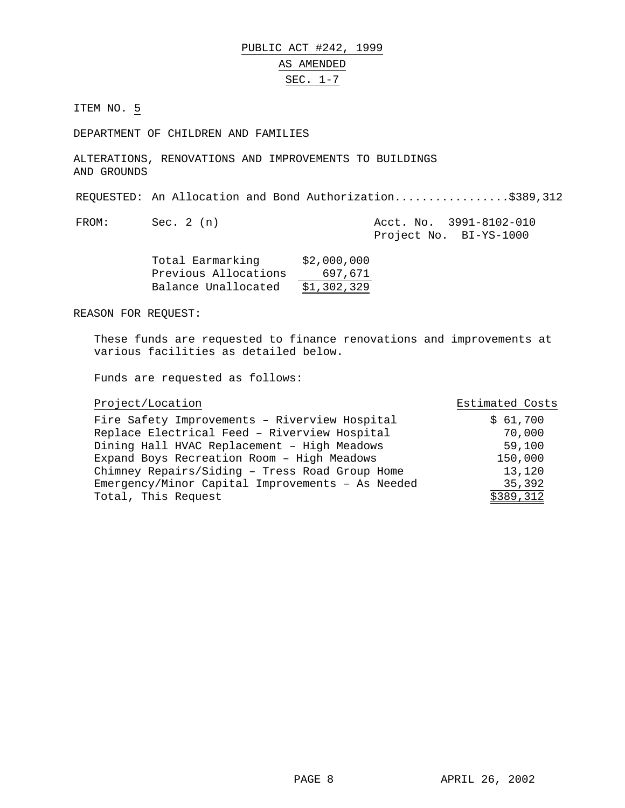DEPARTMENT OF CHILDREN AND FAMILIES

ALTERATIONS, RENOVATIONS AND IMPROVEMENTS TO BUILDINGS AND GROUNDS

REQUESTED: An Allocation and Bond Authorization.................\$389,312

FROM: Sec. 2 (n) Acct. No. 3991-8102-010 Project No. BI-YS-1000

| Total Earmarking     | \$2,000,000 |
|----------------------|-------------|
| Previous Allocations | 697.671     |
| Balance Unallocated  | \$1,302,329 |

## REASON FOR REQUEST:

These funds are requested to finance renovations and improvements at various facilities as detailed below.

| Project/Location                                 | Estimated Costs |
|--------------------------------------------------|-----------------|
| Fire Safety Improvements - Riverview Hospital    | \$61,700        |
| Replace Electrical Feed - Riverview Hospital     | 70,000          |
| Dining Hall HVAC Replacement - High Meadows      | 59,100          |
| Expand Boys Recreation Room - High Meadows       | 150,000         |
| Chimney Repairs/Siding - Tress Road Group Home   | 13,120          |
| Emergency/Minor Capital Improvements - As Needed | 35,392          |
| Total, This Request                              | \$389,312       |
|                                                  |                 |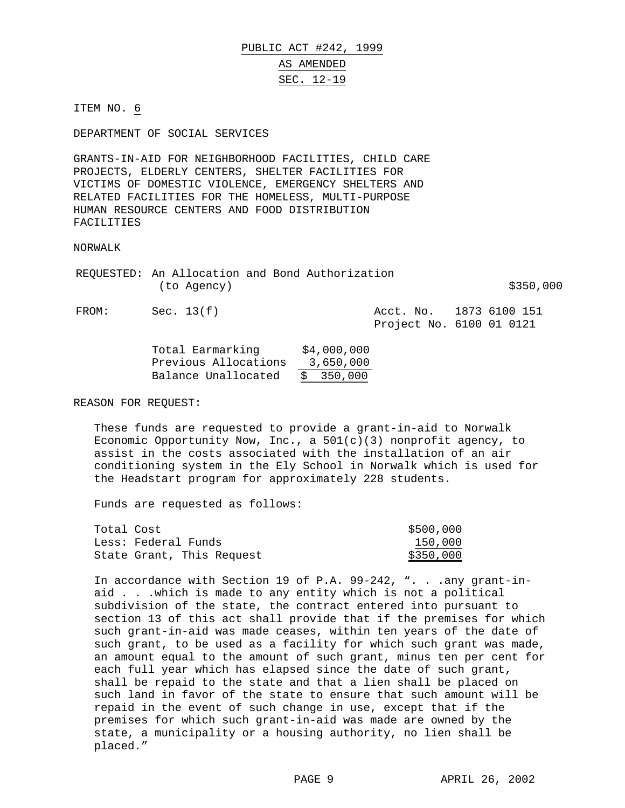# PUBLIC ACT #242, 1999 AS AMENDED SEC. 12-19

ITEM NO. 6

DEPARTMENT OF SOCIAL SERVICES

GRANTS-IN-AID FOR NEIGHBORHOOD FACILITIES, CHILD CARE PROJECTS, ELDERLY CENTERS, SHELTER FACILITIES FOR VICTIMS OF DOMESTIC VIOLENCE, EMERGENCY SHELTERS AND RELATED FACILITIES FOR THE HOMELESS, MULTI-PURPOSE HUMAN RESOURCE CENTERS AND FOOD DISTRIBUTION FACILITIES

NORWALK

REQUESTED: An Allocation and Bond Authorization  $(to \text{ Agency})$   $\frac{1}{250,000}$ 

FROM: Sec. 13(f) <br>Rect. No. 1873 6100 151 Project No. 6100 01 0121

| Total Earmarking     | \$4,000,000 |
|----------------------|-------------|
| Previous Allocations | 3,650,000   |
| Balance Unallocated  | \$350,000   |

REASON FOR REQUEST:

These funds are requested to provide a grant-in-aid to Norwalk Economic Opportunity Now, Inc., a  $501(c)(3)$  nonprofit agency, to assist in the costs associated with the installation of an air conditioning system in the Ely School in Norwalk which is used for the Headstart program for approximately 228 students.

Funds are requested as follows:

| Total Cost |                           | \$500,000 |
|------------|---------------------------|-----------|
|            | Less: Federal Funds       | 150,000   |
|            | State Grant, This Request | \$350,000 |

In accordance with Section 19 of P.A. 99-242, ". . .any grant-inaid . . .which is made to any entity which is not a political subdivision of the state, the contract entered into pursuant to section 13 of this act shall provide that if the premises for which such grant-in-aid was made ceases, within ten years of the date of such grant, to be used as a facility for which such grant was made, an amount equal to the amount of such grant, minus ten per cent for each full year which has elapsed since the date of such grant, shall be repaid to the state and that a lien shall be placed on such land in favor of the state to ensure that such amount will be repaid in the event of such change in use, except that if the premises for which such grant-in-aid was made are owned by the state, a municipality or a housing authority, no lien shall be placed."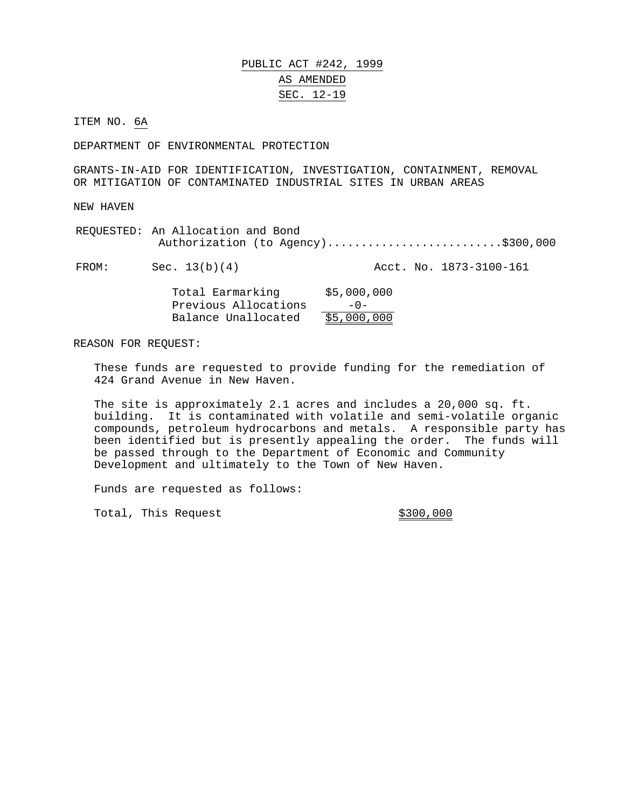# PUBLIC ACT #242, 1999 AS AMENDED SEC. 12-19

ITEM NO. 6A

DEPARTMENT OF ENVIRONMENTAL PROTECTION

GRANTS-IN-AID FOR IDENTIFICATION, INVESTIGATION, CONTAINMENT, REMOVAL OR MITIGATION OF CONTAMINATED INDUSTRIAL SITES IN URBAN AREAS

NEW HAVEN

REQUESTED: An Allocation and Bond Authorization (to Agency)............................\$300,000

FROM: Sec. 13(b)(4) Acct. No. 1873-3100-161

| Total Earmarking     | \$5,000,000 |
|----------------------|-------------|
| Previous Allocations | $-0-$       |
| Balance Unallocated  | \$5,000,000 |

#### REASON FOR REQUEST:

These funds are requested to provide funding for the remediation of 424 Grand Avenue in New Haven.

The site is approximately 2.1 acres and includes a 20,000 sq. ft. building. It is contaminated with volatile and semi-volatile organic compounds, petroleum hydrocarbons and metals. A responsible party has been identified but is presently appealing the order. The funds will be passed through to the Department of Economic and Community Development and ultimately to the Town of New Haven.

Funds are requested as follows:

Total, This Request  $\frac{1}{300,000}$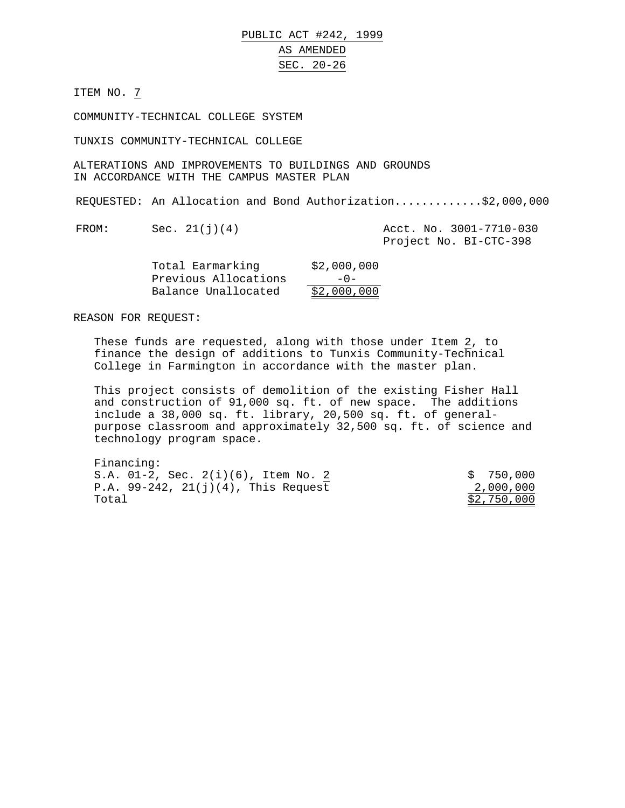PUBLIC ACT #242, 1999 AS AMENDED SEC. 20-26

ITEM NO. 7

COMMUNITY-TECHNICAL COLLEGE SYSTEM

TUNXIS COMMUNITY-TECHNICAL COLLEGE

ALTERATIONS AND IMPROVEMENTS TO BUILDINGS AND GROUNDS IN ACCORDANCE WITH THE CAMPUS MASTER PLAN

REQUESTED: An Allocation and Bond Authorization.............\$2,000,000

FROM: Sec. 21(j)(4) Acct. No. 3001-7710-030 Project No. BI-CTC-398

| Total Earmarking     | \$2,000,000 |
|----------------------|-------------|
| Previous Allocations | $-0-$       |
| Balance Unallocated  | \$2,000,000 |

REASON FOR REQUEST:

These funds are requested, along with those under Item 2, to finance the design of additions to Tunxis Community-Technical College in Farmington in accordance with the master plan.

This project consists of demolition of the existing Fisher Hall and construction of 91,000 sq. ft. of new space. The additions include a 38,000 sq. ft. library, 20,500 sq. ft. of generalpurpose classroom and approximately 32,500 sq. ft. of science and technology program space.

| Financing:                                |             |
|-------------------------------------------|-------------|
| S.A. $01-2$ , Sec. $2(i)(6)$ , Item No. 2 | \$750,000   |
| P.A. $99-242$ , $21(j)(4)$ , This Request | 2,000,000   |
| Total                                     | \$2,750,000 |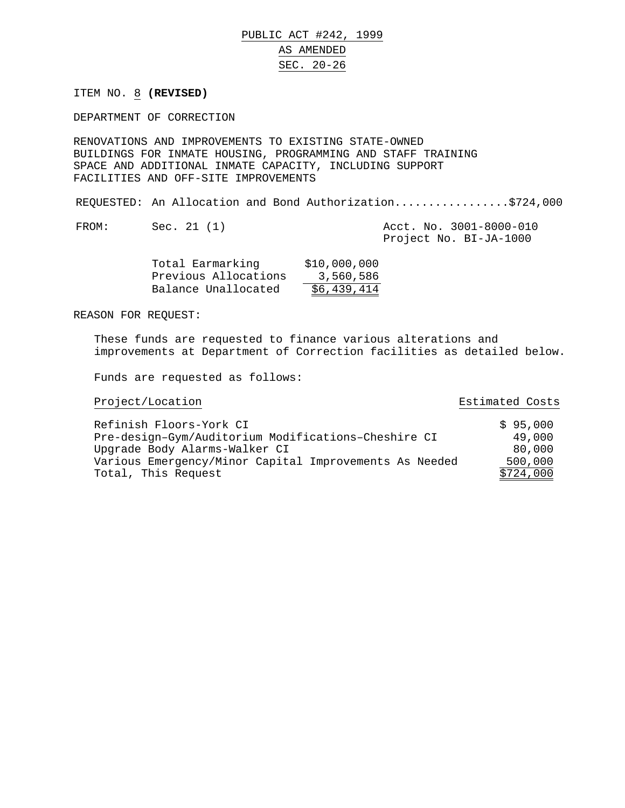PUBLIC ACT #242, 1999 AS AMENDED SEC. 20-26

ITEM NO. 8 **(REVISED)**

DEPARTMENT OF CORRECTION

RENOVATIONS AND IMPROVEMENTS TO EXISTING STATE-OWNED BUILDINGS FOR INMATE HOUSING, PROGRAMMING AND STAFF TRAINING SPACE AND ADDITIONAL INMATE CAPACITY, INCLUDING SUPPORT FACILITIES AND OFF-SITE IMPROVEMENTS

REQUESTED: An Allocation and Bond Authorization.................\$724,000

FROM: Sec. 21 (1) Acct. No. 3001-8000-010 Project No. BI-JA-1000

| Total Earmarking     | \$10,000,000 |
|----------------------|--------------|
| Previous Allocations | 3,560,586    |
| Balance Unallocated  | \$6,439,414  |

REASON FOR REQUEST:

These funds are requested to finance various alterations and improvements at Department of Correction facilities as detailed below.

Funds are requested as follows:

Project/Location Estimated Costs

| Refinish Floors-York CI                                | \$95,000  |
|--------------------------------------------------------|-----------|
| Pre-design-Gym/Auditorium Modifications-Cheshire CI    | 49,000    |
| Upgrade Body Alarms-Walker CI                          | 80,000    |
| Various Emergency/Minor Capital Improvements As Needed | 500,000   |
| Total, This Request                                    | \$724,000 |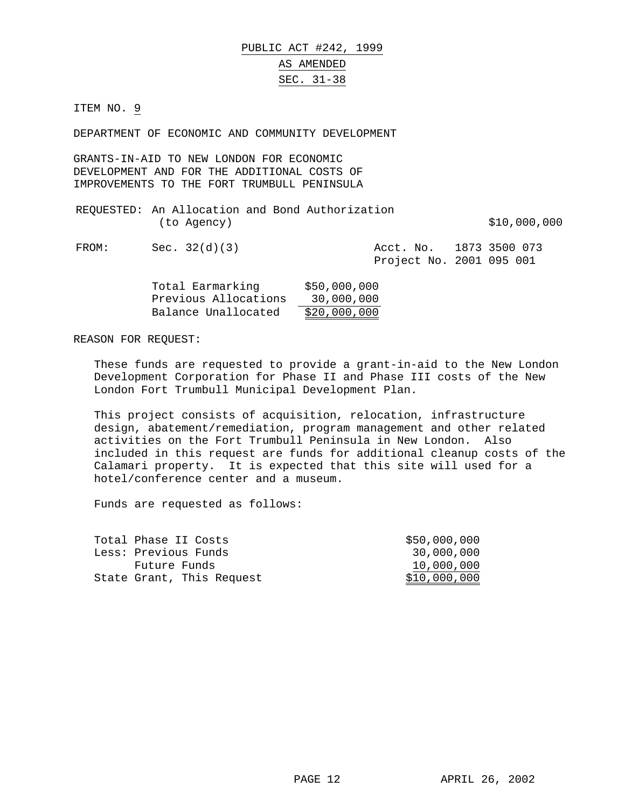DEPARTMENT OF ECONOMIC AND COMMUNITY DEVELOPMENT

GRANTS-IN-AID TO NEW LONDON FOR ECONOMIC DEVELOPMENT AND FOR THE ADDITIONAL COSTS OF IMPROVEMENTS TO THE FORT TRUMBULL PENINSULA

| REQUESTED: An Allocation and Bond Authorization | (to Agency)     |  |                                                     |  | \$10,000,000 |
|-------------------------------------------------|-----------------|--|-----------------------------------------------------|--|--------------|
| FROM:                                           | Sec. $32(d)(3)$ |  | Acct. No. 1873 3500 073<br>Project No. 2001 095 001 |  |              |

| Total Earmarking     | \$50,000,000 |
|----------------------|--------------|
| Previous Allocations | 30,000,000   |
| Balance Unallocated  | \$20,000,000 |

#### REASON FOR REQUEST:

These funds are requested to provide a grant-in-aid to the New London Development Corporation for Phase II and Phase III costs of the New London Fort Trumbull Municipal Development Plan.

This project consists of acquisition, relocation, infrastructure design, abatement/remediation, program management and other related activities on the Fort Trumbull Peninsula in New London. Also included in this request are funds for additional cleanup costs of the Calamari property. It is expected that this site will used for a hotel/conference center and a museum.

| Total Phase II Costs      | \$50,000,000 |
|---------------------------|--------------|
| Less: Previous Funds      | 30,000,000   |
| Future Funds              | 10,000,000   |
| State Grant, This Request | \$10,000,000 |
|                           |              |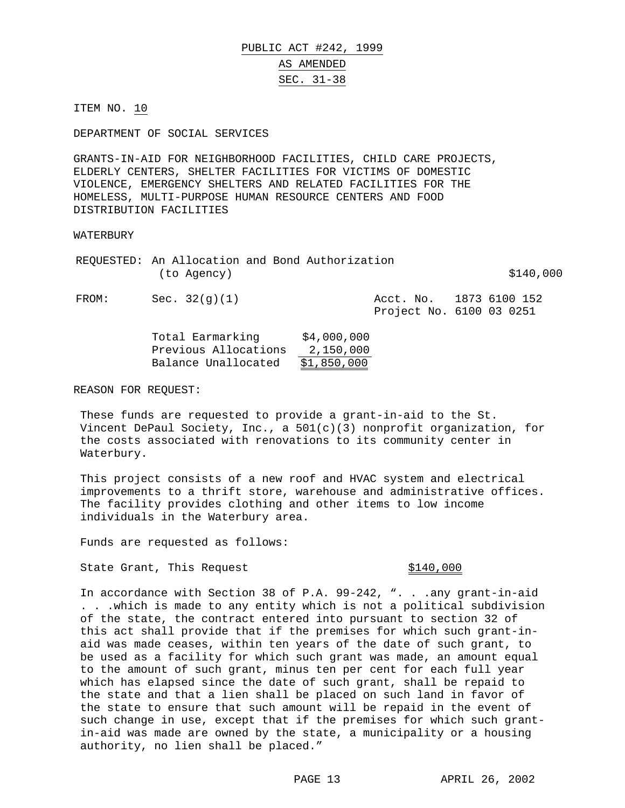DEPARTMENT OF SOCIAL SERVICES

GRANTS-IN-AID FOR NEIGHBORHOOD FACILITIES, CHILD CARE PROJECTS, ELDERLY CENTERS, SHELTER FACILITIES FOR VICTIMS OF DOMESTIC VIOLENCE, EMERGENCY SHELTERS AND RELATED FACILITIES FOR THE HOMELESS, MULTI-PURPOSE HUMAN RESOURCE CENTERS AND FOOD DISTRIBUTION FACILITIES

### **WATERBURY**

|       |               |  | REQUESTED: An Allocation and Bond Authorization |           |               |           |  |
|-------|---------------|--|-------------------------------------------------|-----------|---------------|-----------|--|
|       | (to Agency)   |  |                                                 |           |               | \$140,000 |  |
| FROM: | Sec. 32(q)(1) |  |                                                 | Acct. No. | 1873 6100 152 |           |  |

Project No. 6100 03 0251

| Total Earmarking     | \$4,000,000 |
|----------------------|-------------|
| Previous Allocations | 2,150,000   |
| Balance Unallocated  | \$1,850,000 |

REASON FOR REQUEST:

These funds are requested to provide a grant-in-aid to the St. Vincent DePaul Society, Inc., a 501(c)(3) nonprofit organization, for the costs associated with renovations to its community center in Waterbury.

This project consists of a new roof and HVAC system and electrical improvements to a thrift store, warehouse and administrative offices. The facility provides clothing and other items to low income individuals in the Waterbury area.

Funds are requested as follows:

State Grant, This Request  $$140,000$ 

In accordance with Section 38 of P.A. 99-242, ". . .any grant-in-aid . . .which is made to any entity which is not a political subdivision of the state, the contract entered into pursuant to section 32 of this act shall provide that if the premises for which such grant-inaid was made ceases, within ten years of the date of such grant, to be used as a facility for which such grant was made, an amount equal to the amount of such grant, minus ten per cent for each full year which has elapsed since the date of such grant, shall be repaid to the state and that a lien shall be placed on such land in favor of the state to ensure that such amount will be repaid in the event of such change in use, except that if the premises for which such grantin-aid was made are owned by the state, a municipality or a housing authority, no lien shall be placed."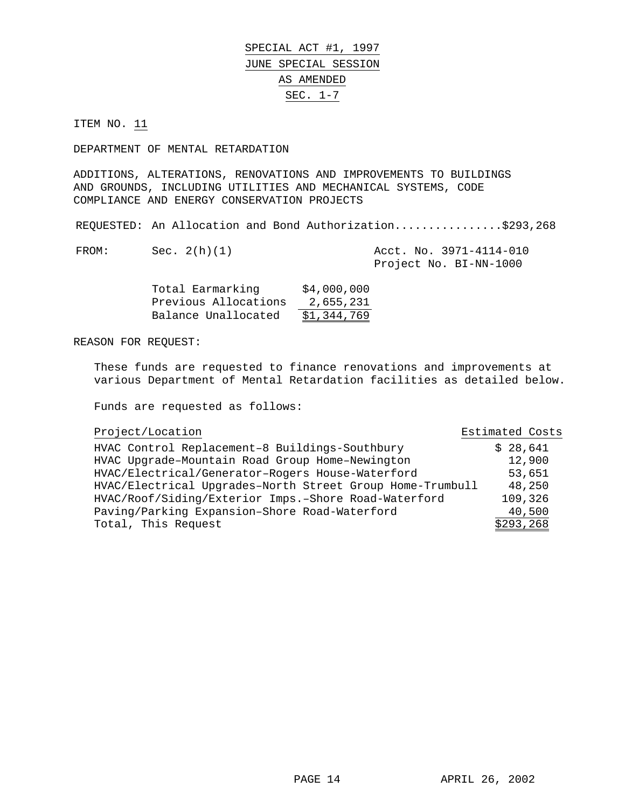SPECIAL ACT #1, 1997 JUNE SPECIAL SESSION AS AMENDED SEC. 1-7

ITEM NO. 11

DEPARTMENT OF MENTAL RETARDATION

ADDITIONS, ALTERATIONS, RENOVATIONS AND IMPROVEMENTS TO BUILDINGS AND GROUNDS, INCLUDING UTILITIES AND MECHANICAL SYSTEMS, CODE COMPLIANCE AND ENERGY CONSERVATION PROJECTS

REQUESTED: An Allocation and Bond Authorization..................\$293,268

FROM: Sec. 2(h)(1) Acct. No. 3971-4114-010 Project No. BI-NN-1000

| Total Earmarking     | \$4,000,000 |
|----------------------|-------------|
| Previous Allocations | 2,655,231   |
| Balance Unallocated  | \$1,344,769 |

### REASON FOR REQUEST:

These funds are requested to finance renovations and improvements at various Department of Mental Retardation facilities as detailed below.

Funds are requested as follows:

## Project/Location Estimated Costs

| HVAC Control Replacement-8 Buildings-Southbury            | \$28,641   |
|-----------------------------------------------------------|------------|
| HVAC Upgrade-Mountain Road Group Home-Newington           | 12,900     |
| HVAC/Electrical/Generator-Rogers House-Waterford          | 53,651     |
| HVAC/Electrical Upgrades-North Street Group Home-Trumbull | 48,250     |
| HVAC/Roof/Siding/Exterior Imps.-Shore Road-Waterford      | 109,326    |
| Paving/Parking Expansion-Shore Road-Waterford             | 40,500     |
| Total, This Request                                       | \$293, 268 |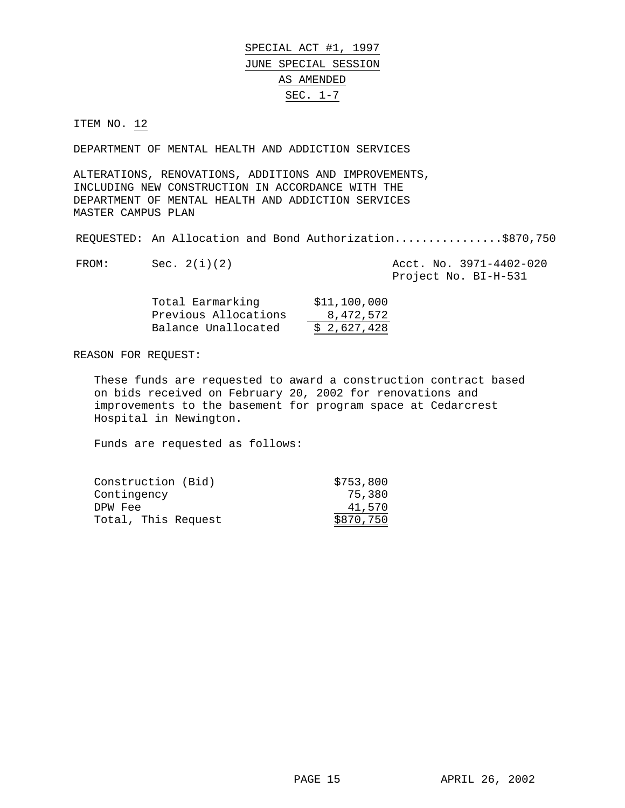SPECIAL ACT #1, 1997 JUNE SPECIAL SESSION AS AMENDED SEC. 1-7

ITEM NO. 12

DEPARTMENT OF MENTAL HEALTH AND ADDICTION SERVICES

ALTERATIONS, RENOVATIONS, ADDITIONS AND IMPROVEMENTS, INCLUDING NEW CONSTRUCTION IN ACCORDANCE WITH THE DEPARTMENT OF MENTAL HEALTH AND ADDICTION SERVICES MASTER CAMPUS PLAN

REQUESTED: An Allocation and Bond Authorization................\$870,750

| FROM: | Sec. $2(i)(2)$ |  | Acct. No. 3971-4402-020 |
|-------|----------------|--|-------------------------|
|       |                |  |                         |

Project No. BI-H-531

| Total Earmarking     | \$11,100,000 |
|----------------------|--------------|
| Previous Allocations | 8,472,572    |
| Balance Unallocated  | \$2,627,428  |

REASON FOR REQUEST:

These funds are requested to award a construction contract based on bids received on February 20, 2002 for renovations and improvements to the basement for program space at Cedarcrest Hospital in Newington.

| Construction (Bid)  | \$753,800 |
|---------------------|-----------|
| Contingency         | 75,380    |
| DPW Fee             | 41,570    |
| Total, This Request | \$870,750 |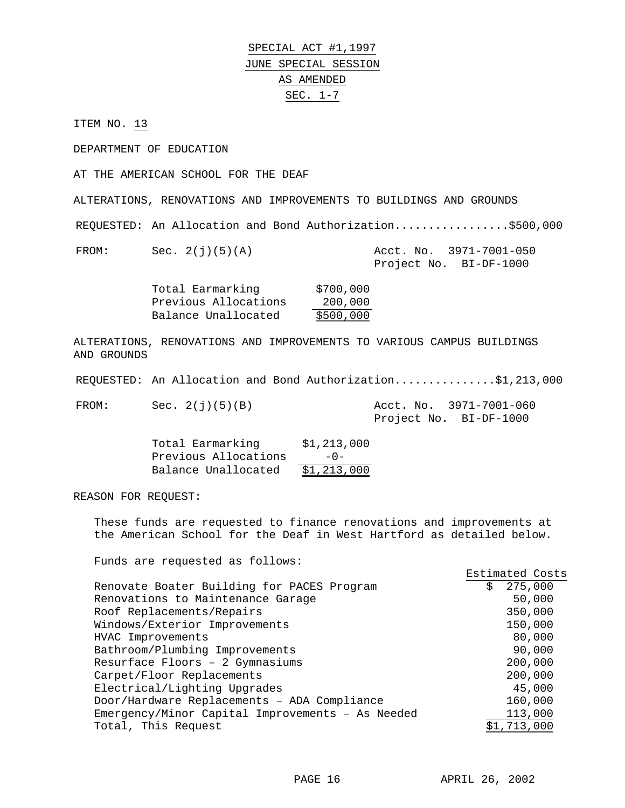SPECIAL ACT #1,1997 JUNE SPECIAL SESSION AS AMENDED SEC. 1-7

ITEM NO. 13

DEPARTMENT OF EDUCATION

AT THE AMERICAN SCHOOL FOR THE DEAF

ALTERATIONS, RENOVATIONS AND IMPROVEMENTS TO BUILDINGS AND GROUNDS

REQUESTED: An Allocation and Bond Authorization.................\$500,000

FROM: Sec. 2(j)(5)(A) Acct. No. 3971-7001-050 Project No. BI-DF-1000

| Total Earmarking     | \$700,000 |
|----------------------|-----------|
| Previous Allocations | 200,000   |
| Balance Unallocated  | \$500,000 |

ALTERATIONS, RENOVATIONS AND IMPROVEMENTS TO VARIOUS CAMPUS BUILDINGS AND GROUNDS

REQUESTED: An Allocation and Bond Authorization...............\$1,213,000

FROM: Sec. 2(j)(5)(B) Acct. No. 3971-7001-060

Project No. BI-DF-1000

| Total Earmarking     | \$1,213,000 |
|----------------------|-------------|
| Previous Allocations | $-0-$       |
| Balance Unallocated  | \$1,213,000 |

REASON FOR REQUEST:

These funds are requested to finance renovations and improvements at the American School for the Deaf in West Hartford as detailed below.

|                                                  | Estimated Costs |
|--------------------------------------------------|-----------------|
| Renovate Boater Building for PACES Program       | 275,000<br>Ŝ.   |
| Renovations to Maintenance Garage                | 50,000          |
| Roof Replacements/Repairs                        | 350,000         |
| Windows/Exterior Improvements                    | 150,000         |
| HVAC Improvements                                | 80,000          |
| Bathroom/Plumbing Improvements                   | 90,000          |
| Resurface Floors - 2 Gymnasiums                  | 200,000         |
| Carpet/Floor Replacements                        | 200,000         |
| Electrical/Lighting Upgrades                     | 45,000          |
| Door/Hardware Replacements - ADA Compliance      | 160,000         |
| Emergency/Minor Capital Improvements - As Needed | 113,000         |
| Total, This Request                              | \$1,713,000     |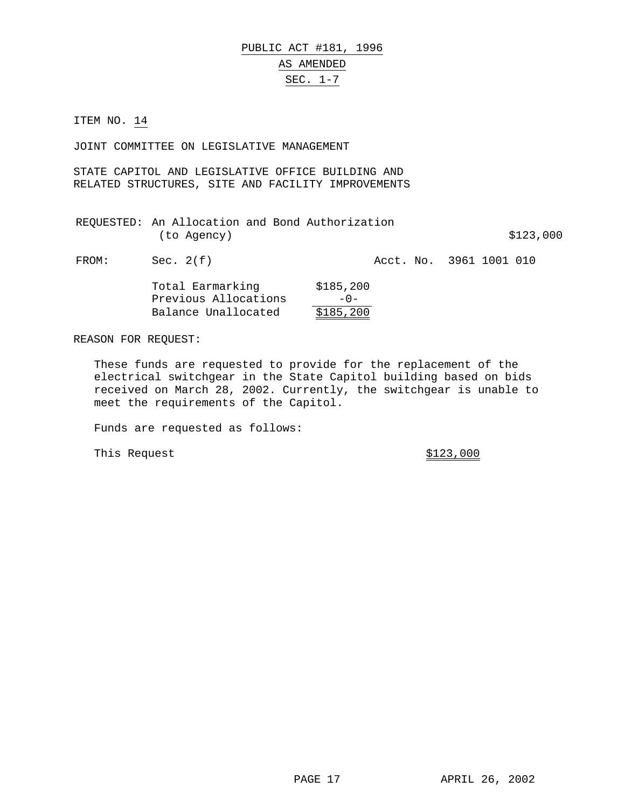JOINT COMMITTEE ON LEGISLATIVE MANAGEMENT

STATE CAPITOL AND LEGISLATIVE OFFICE BUILDING AND RELATED STRUCTURES, SITE AND FACILITY IMPROVEMENTS

| REQUESTED: An Allocation and Bond Authorization |  |           |  |
|-------------------------------------------------|--|-----------|--|
| (to Agency)                                     |  | \$123,000 |  |

FROM: Sec. 2(f) Acct. No. 3961 1001 010

| Total Earmarking     | \$185, 200 |
|----------------------|------------|
| Previous Allocations | $-0-$      |
| Balance Unallocated  | \$185,200  |

REASON FOR REQUEST:

These funds are requested to provide for the replacement of the electrical switchgear in the State Capitol building based on bids received on March 28, 2002. Currently, the switchgear is unable to meet the requirements of the Capitol.

Funds are requested as follows:

This Request  $\frac{$123,000}{ }$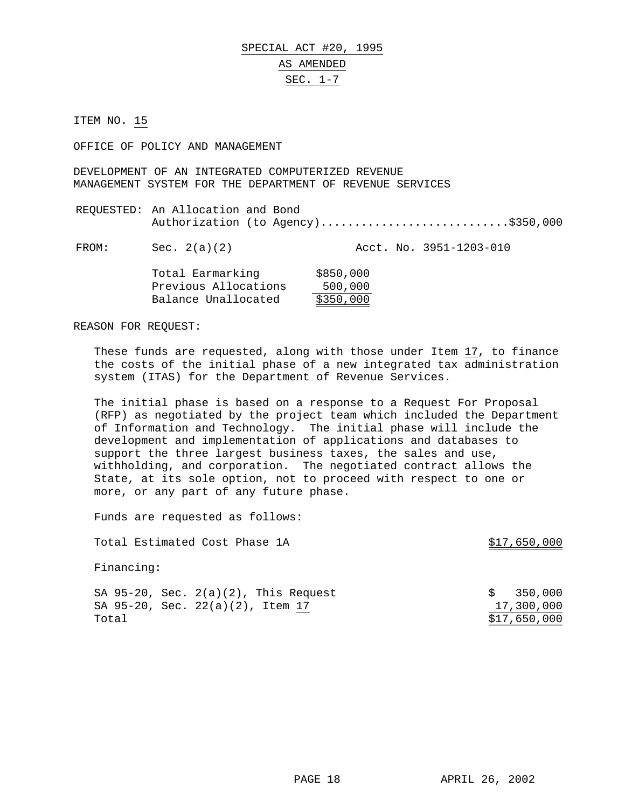OFFICE OF POLICY AND MANAGEMENT

DEVELOPMENT OF AN INTEGRATED COMPUTERIZED REVENUE MANAGEMENT SYSTEM FOR THE DEPARTMENT OF REVENUE SERVICES

REQUESTED: An Allocation and Bond Authorization (to Agency)............................\$350,000

FROM: Sec. 2(a)(2) Acct. No. 3951-1203-010

| Total Earmarking     | \$850,000 |
|----------------------|-----------|
| Previous Allocations | 500,000   |
| Balance Unallocated  | \$350,000 |

REASON FOR REQUEST:

These funds are requested, along with those under Item 17, to finance the costs of the initial phase of a new integrated tax administration system (ITAS) for the Department of Revenue Services.

The initial phase is based on a response to a Request For Proposal (RFP) as negotiated by the project team which included the Department of Information and Technology. The initial phase will include the development and implementation of applications and databases to support the three largest business taxes, the sales and use, withholding, and corporation. The negotiated contract allows the State, at its sole option, not to proceed with respect to one or more, or any part of any future phase.

Funds are requested as follows:

Total Estimated Cost Phase 1A  $$17,650,000$ 

Financing:

|       | SA $95-20$ , Sec. $2(a)(2)$ , This Request | \$350,000    |
|-------|--------------------------------------------|--------------|
|       | SA 95-20, Sec. 22(a)(2), Item 17           | 17,300,000   |
| Total |                                            | \$17,650,000 |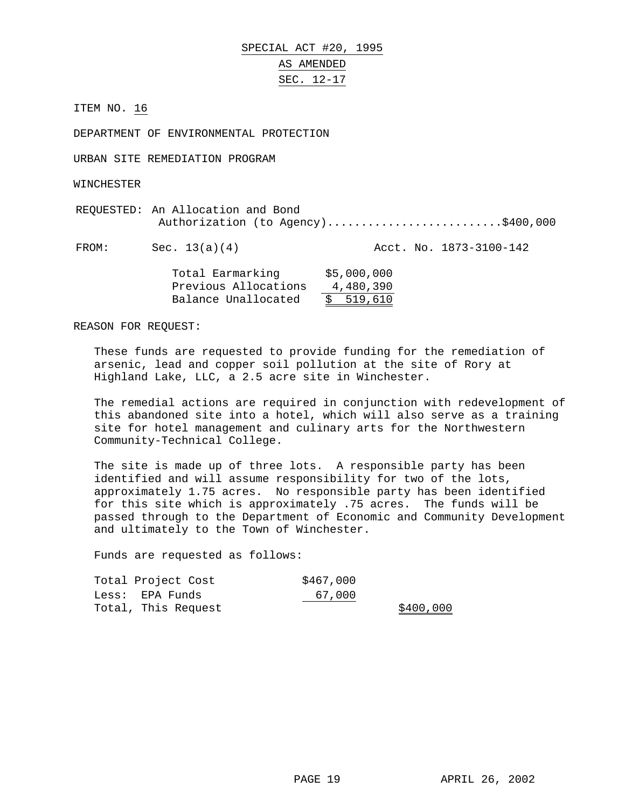SPECIAL ACT #20, 1995

# AS AMENDED SEC. 12-17

ITEM NO. 16

DEPARTMENT OF ENVIRONMENTAL PROTECTION

URBAN SITE REMEDIATION PROGRAM

WINCHESTER

| REQUESTED: An Allocation and Bond |                                    |  |
|-----------------------------------|------------------------------------|--|
|                                   | Authorization (to Agency)\$400,000 |  |

FROM: Sec. 13(a)(4) Acct. No. 1873-3100-142

| Total Earmarking     | \$5,000,000 |
|----------------------|-------------|
| Previous Allocations | 4,480,390   |
| Balance Unallocated  | \$519,610   |

REASON FOR REQUEST:

These funds are requested to provide funding for the remediation of arsenic, lead and copper soil pollution at the site of Rory at Highland Lake, LLC, a 2.5 acre site in Winchester.

The remedial actions are required in conjunction with redevelopment of this abandoned site into a hotel, which will also serve as a training site for hotel management and culinary arts for the Northwestern Community-Technical College.

The site is made up of three lots. A responsible party has been identified and will assume responsibility for two of the lots, approximately 1.75 acres. No responsible party has been identified for this site which is approximately .75 acres. The funds will be passed through to the Department of Economic and Community Development and ultimately to the Town of Winchester.

| Total Project Cost  | \$467,000 |           |
|---------------------|-----------|-----------|
| Less: EPA Funds     | 67,000    |           |
| Total, This Request |           | \$400,000 |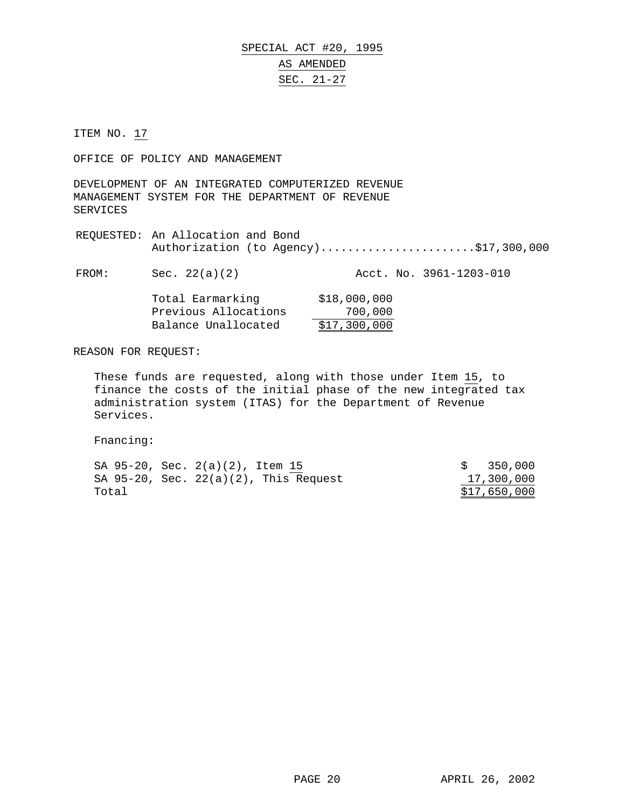# SPECIAL ACT #20, 1995 AS AMENDED SEC. 21-27

ITEM NO. 17

OFFICE OF POLICY AND MANAGEMENT

DEVELOPMENT OF AN INTEGRATED COMPUTERIZED REVENUE MANAGEMENT SYSTEM FOR THE DEPARTMENT OF REVENUE SERVICES

REQUESTED: An Allocation and Bond Authorization (to Agency)........................\$17,300,000

FROM: Sec. 22(a)(2) Acct. No. 3961-1203-010

Total Earmarking \$18,000,000 Previous Allocations 700,000 Balance Unallocated \$17,300,000

REASON FOR REQUEST:

These funds are requested, along with those under Item 15, to finance the costs of the initial phase of the new integrated tax administration system (ITAS) for the Department of Revenue Services.

Fnancing:

|       | SA 95-20, Sec. 2(a)(2), Item 15             | \$350,000    |
|-------|---------------------------------------------|--------------|
|       | SA $95-20$ , Sec. $22(a)(2)$ , This Request | 17,300,000   |
| Total |                                             | \$17,650,000 |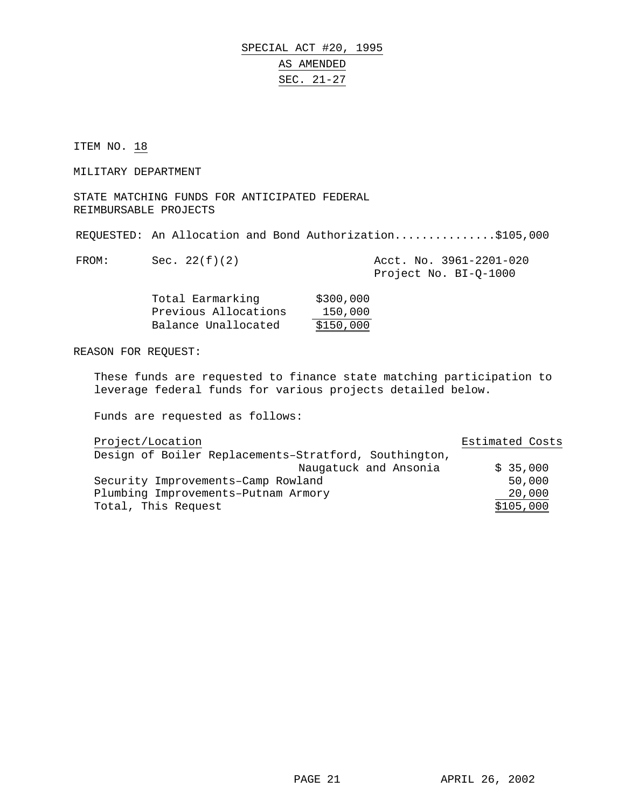# SPECIAL ACT #20, 1995 AS AMENDED SEC. 21-27

ITEM NO. 18

MILITARY DEPARTMENT

STATE MATCHING FUNDS FOR ANTICIPATED FEDERAL REIMBURSABLE PROJECTS

REQUESTED: An Allocation and Bond Authorization...............\$105,000

| 모ㅂ∪ |  |
|-----|--|
|     |  |

| FROM: | Sec. 22(f)(2) | Acct. No. 3961-2201-020 |  |  |
|-------|---------------|-------------------------|--|--|
|       |               | Project No. BI-Q-1000   |  |  |

| Total Earmarking     | \$300,000 |
|----------------------|-----------|
| Previous Allocations | 150,000   |
| Balance Unallocated  | \$150,000 |

REASON FOR REQUEST:

These funds are requested to finance state matching participation to leverage federal funds for various projects detailed below.

| Project/Location                                      | Estimated Costs |
|-------------------------------------------------------|-----------------|
| Design of Boiler Replacements-Stratford, Southington, |                 |
| Naugatuck and Ansonia                                 | \$35,000        |
| Security Improvements-Camp Rowland                    | 50,000          |
| Plumbing Improvements-Putnam Armory                   | 20,000          |
| Total, This Request                                   | \$105,000       |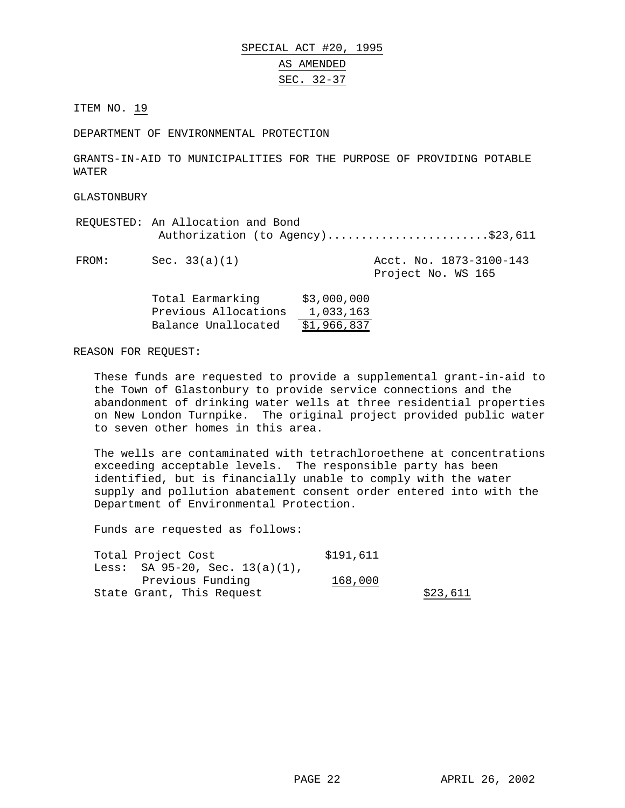DEPARTMENT OF ENVIRONMENTAL PROTECTION

GRANTS-IN-AID TO MUNICIPALITIES FOR THE PURPOSE OF PROVIDING POTABLE WATER

GLASTONBURY

REQUESTED: An Allocation and Bond Authorization (to Agency)..........................\$23,611 FROM: Sec. 33(a)(1) Acct. No. 1873-3100-143 Project No. WS 165

| Total Earmarking     | \$3,000,000 |
|----------------------|-------------|
| Previous Allocations | 1,033,163   |
| Balance Unallocated  | \$1,966,837 |

REASON FOR REQUEST:

These funds are requested to provide a supplemental grant-in-aid to the Town of Glastonbury to provide service connections and the abandonment of drinking water wells at three residential properties on New London Turnpike. The original project provided public water to seven other homes in this area.

The wells are contaminated with tetrachloroethene at concentrations exceeding acceptable levels. The responsible party has been identified, but is financially unable to comply with the water supply and pollution abatement consent order entered into with the Department of Environmental Protection.

| Total Project Cost                   | \$191,611 |          |
|--------------------------------------|-----------|----------|
| Less: SA $95-20$ , Sec. $13(a)(1)$ , |           |          |
| Previous Funding                     | 168,000   |          |
| State Grant, This Request            |           | \$23,611 |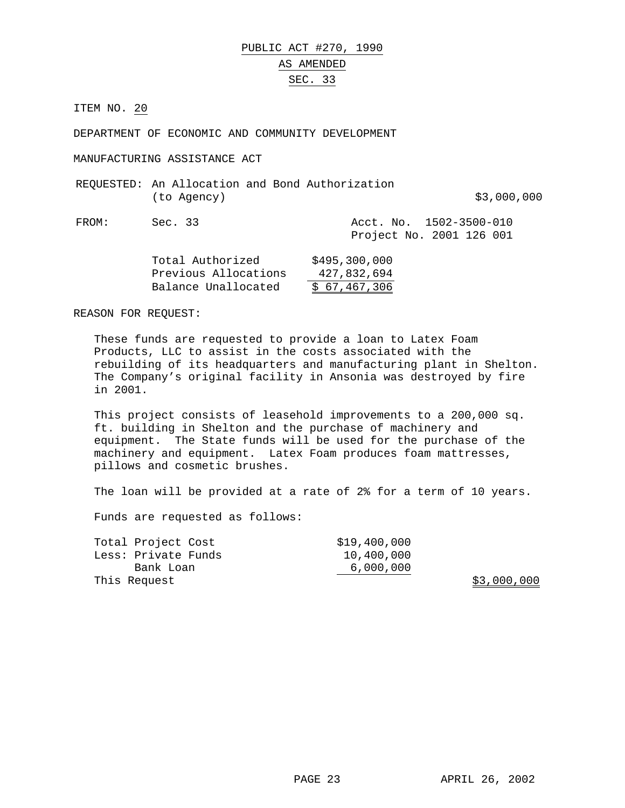DEPARTMENT OF ECONOMIC AND COMMUNITY DEVELOPMENT

MANUFACTURING ASSISTANCE ACT

REQUESTED: An Allocation and Bond Authorization (to Agency) \$3,000,000

FROM: Sec. 33 Acct. No. 1502-3500-010 Project No. 2001 126 001

| Total Authorized     | \$495,300,000 |
|----------------------|---------------|
| Previous Allocations | 427,832,694   |
| Balance Unallocated  | \$67,467,306  |

REASON FOR REQUEST:

These funds are requested to provide a loan to Latex Foam Products, LLC to assist in the costs associated with the rebuilding of its headquarters and manufacturing plant in Shelton. The Company's original facility in Ansonia was destroyed by fire in 2001.

This project consists of leasehold improvements to a 200,000 sq. ft. building in Shelton and the purchase of machinery and equipment. The State funds will be used for the purchase of the machinery and equipment. Latex Foam produces foam mattresses, pillows and cosmetic brushes.

The loan will be provided at a rate of 2% for a term of 10 years.

Funds are requested as follows:

| Total Project Cost  | \$19,400,000 |
|---------------------|--------------|
| Less: Private Funds | 10,400,000   |
| Bank Loan           | 6,000,000    |
| This Request        |              |

 $$3,000,000$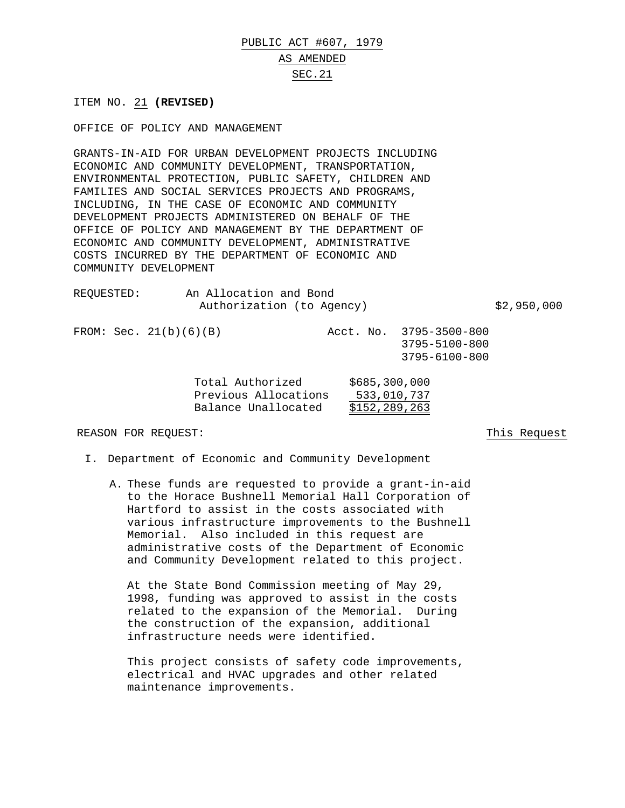# PUBLIC ACT #607, 1979

#### AS AMENDED

## SEC.21

ITEM NO. 21 **(REVISED)**

OFFICE OF POLICY AND MANAGEMENT

GRANTS-IN-AID FOR URBAN DEVELOPMENT PROJECTS INCLUDING ECONOMIC AND COMMUNITY DEVELOPMENT, TRANSPORTATION, ENVIRONMENTAL PROTECTION, PUBLIC SAFETY, CHILDREN AND FAMILIES AND SOCIAL SERVICES PROJECTS AND PROGRAMS, INCLUDING, IN THE CASE OF ECONOMIC AND COMMUNITY DEVELOPMENT PROJECTS ADMINISTERED ON BEHALF OF THE OFFICE OF POLICY AND MANAGEMENT BY THE DEPARTMENT OF ECONOMIC AND COMMUNITY DEVELOPMENT, ADMINISTRATIVE COSTS INCURRED BY THE DEPARTMENT OF ECONOMIC AND COMMUNITY DEVELOPMENT

| REOUESTED: | An Allocation and Bond    |             |
|------------|---------------------------|-------------|
|            | Authorization (to Agency) | \$2,950,000 |

FROM: Sec. 21(b)(6)(B) Acct. No. 3795-3500-800 3795-5100-800 3795-6100-800

> Total Authorized \$685,300,000 Previous Allocations 533,010,737 Balance Unallocated \$152,289,263

#### REASON FOR REQUEST: This Request

- I. Department of Economic and Community Development
	- A. These funds are requested to provide a grant-in-aid to the Horace Bushnell Memorial Hall Corporation of Hartford to assist in the costs associated with various infrastructure improvements to the Bushnell Memorial. Also included in this request are administrative costs of the Department of Economic and Community Development related to this project.

At the State Bond Commission meeting of May 29, 1998, funding was approved to assist in the costs related to the expansion of the Memorial. During the construction of the expansion, additional infrastructure needs were identified.

This project consists of safety code improvements, electrical and HVAC upgrades and other related maintenance improvements.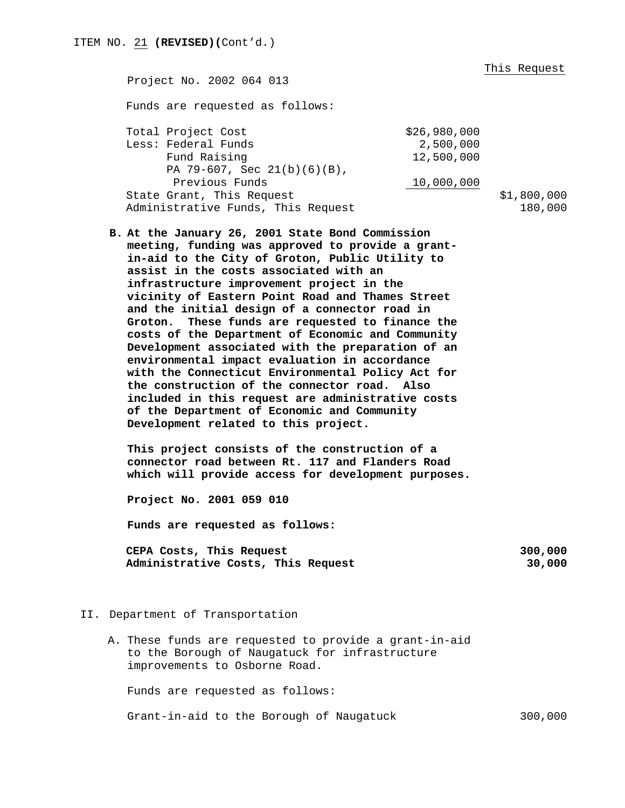This Request

Project No. 2002 064 013 Funds are requested as follows: Total Project Cost  $$26,980,000$ Less: Federal Funds 2,500,000 Fund Raising 12,500,000 PA 79-607, Sec 21(b)(6)(B), Previous Funds 10,000,000 State Grant, This Request  $$1,800,000$ Administrative Funds, This Request 180,000

**B. At the January 26, 2001 State Bond Commission meeting, funding was approved to provide a grantin-aid to the City of Groton, Public Utility to assist in the costs associated with an infrastructure improvement project in the vicinity of Eastern Point Road and Thames Street and the initial design of a connector road in Groton. These funds are requested to finance the costs of the Department of Economic and Community Development associated with the preparation of an environmental impact evaluation in accordance with the Connecticut Environmental Policy Act for the construction of the connector road. Also included in this request are administrative costs of the Department of Economic and Community Development related to this project.**

**This project consists of the construction of a connector road between Rt. 117 and Flanders Road which will provide access for development purposes.**

**Project No. 2001 059 010**

**Funds are requested as follows:**

| CEPA Costs, This Request           |  | 300,000 |
|------------------------------------|--|---------|
| Administrative Costs, This Request |  | 30,000  |

#### II. Department of Transportation

A. These funds are requested to provide a grant-in-aid to the Borough of Naugatuck for infrastructure improvements to Osborne Road.

Funds are requested as follows:

Grant-in-aid to the Borough of Naugatuck 300,000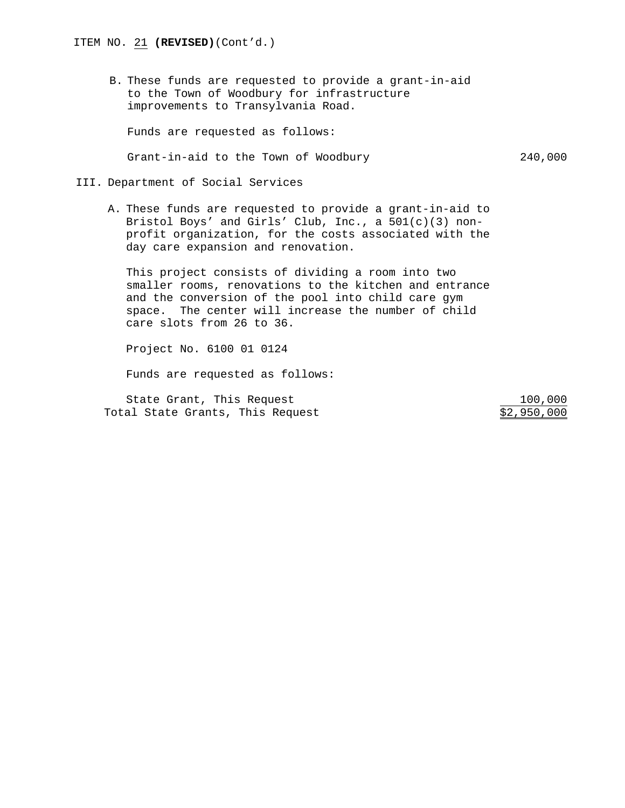B. These funds are requested to provide a grant-in-aid to the Town of Woodbury for infrastructure improvements to Transylvania Road.

Funds are requested as follows:

Grant-in-aid to the Town of Woodbury 240,000

III. Department of Social Services

A. These funds are requested to provide a grant-in-aid to Bristol Boys' and Girls' Club, Inc., a 501(c)(3) nonprofit organization, for the costs associated with the day care expansion and renovation.

This project consists of dividing a room into two smaller rooms, renovations to the kitchen and entrance and the conversion of the pool into child care gym space. The center will increase the number of child care slots from 26 to 36.

Project No. 6100 01 0124

Funds are requested as follows:

State Grant, This Request 100,000 Total State Grants, This Request  $$2,950,000$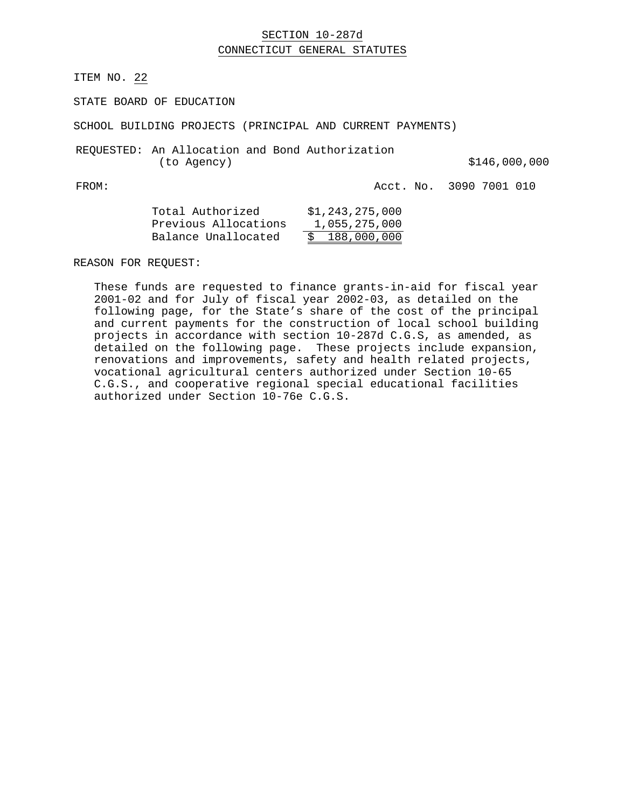# SECTION 10-287d CONNECTICUT GENERAL STATUTES

ITEM NO. 22

STATE BOARD OF EDUCATION

SCHOOL BUILDING PROJECTS (PRINCIPAL AND CURRENT PAYMENTS)

REQUESTED: An Allocation and Bond Authorization (to Agency) 6.146,000,000

FROM: Acct. No. 3090 7001 010

| \$1,243,275,000 |
|-----------------|
| 1,055,275,000   |
| \$188,000,000   |
|                 |

REASON FOR REQUEST:

These funds are requested to finance grants-in-aid for fiscal year 2001-02 and for July of fiscal year 2002-03, as detailed on the following page, for the State's share of the cost of the principal and current payments for the construction of local school building projects in accordance with section 10-287d C.G.S, as amended, as detailed on the following page. These projects include expansion, renovations and improvements, safety and health related projects, vocational agricultural centers authorized under Section 10-65 C.G.S., and cooperative regional special educational facilities authorized under Section 10-76e C.G.S.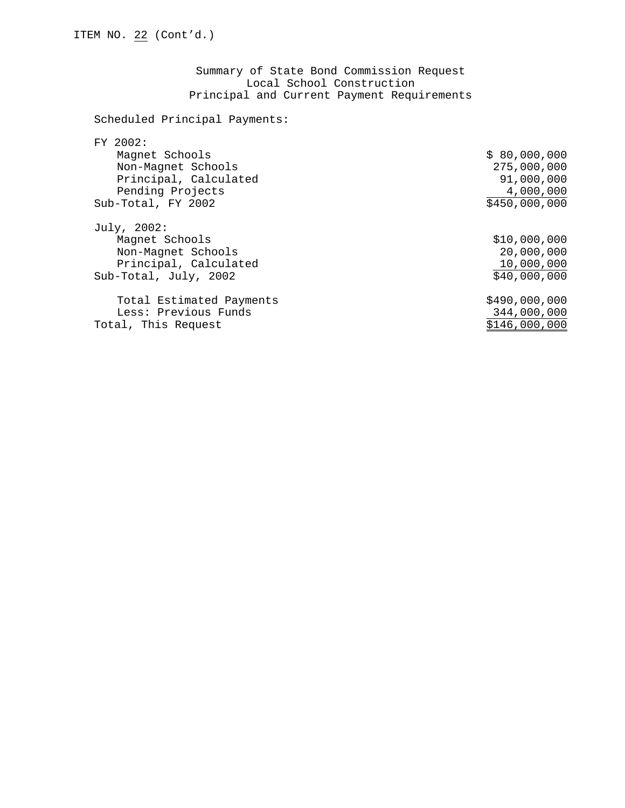Summary of State Bond Commission Request Local School Construction Principal and Current Payment Requirements

Scheduled Principal Payments:

| \$80,000,000  |
|---------------|
| 275,000,000   |
| 91,000,000    |
| 4,000,000     |
| \$450,000,000 |
|               |
| \$10,000,000  |
| 20,000,000    |
| 10,000,000    |
| \$40,000,000  |
| \$490,000,000 |
| 344,000,000   |
| \$146,000,000 |
|               |